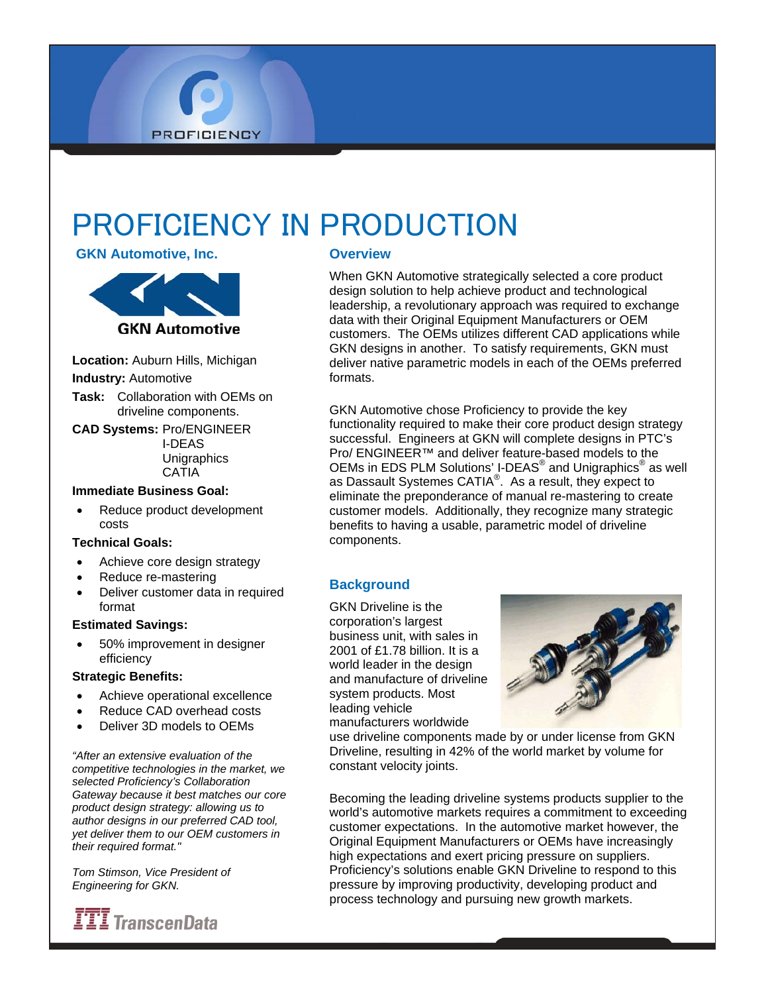# PROFICIENCY IN PRODUCTION

### **GKN Automotive, Inc.**



**PROFICIENCY** 

**Location:** Auburn Hills, Michigan **Industry:** Automotive

- **Task:** Collaboration with OEMs on driveline components.
- **CAD Systems:** Pro/ENGINEER I-DEAS **Unigraphics CATIA**

#### **Immediate Business Goal:**

• Reduce product development costs

#### **Technical Goals:**

- Achieve core design strategy
- Reduce re-mastering
- Deliver customer data in required format

#### **Estimated Savings:**

• 50% improvement in designer efficiency

#### **Strategic Benefits:**

- Achieve operational excellence
- Reduce CAD overhead costs
- Deliver 3D models to OEMs

*"After an extensive evaluation of the competitive technologies in the market, we selected Proficiency's Collaboration Gateway because it best matches our core product design strategy: allowing us to author designs in our preferred CAD tool, yet deliver them to our OEM customers in their required format."* 

*Tom Stimson, Vice President of Engineering for GKN.* 



## **Overview**

When GKN Automotive strategically selected a core product design solution to help achieve product and technological leadership, a revolutionary approach was required to exchange data with their Original Equipment Manufacturers or OEM customers. The OEMs utilizes different CAD applications while GKN designs in another. To satisfy requirements, GKN must deliver native parametric models in each of the OEMs preferred formats.

GKN Automotive chose Proficiency to provide the key functionality required to make their core product design strategy successful. Engineers at GKN will complete designs in PTC's Pro/ ENGINEER™ and deliver feature-based models to the OEMs in EDS PLM Solutions' I-DEAS<sup>®</sup> and Unigraphics<sup>®</sup> as well as Dassault Systemes CATIA<sup>®</sup>. As a result, they expect to eliminate the preponderance of manual re-mastering to create customer models. Additionally, they recognize many strategic benefits to having a usable, parametric model of driveline components.

## **Background**

GKN Driveline is the corporation's largest business unit, with sales in 2001 of £1.78 billion. It is a world leader in the design and manufacture of driveline system products. Most leading vehicle manufacturers worldwide



use driveline components made by or under license from GKN Driveline, resulting in 42% of the world market by volume for constant velocity joints.

Becoming the leading driveline systems products supplier to the world's automotive markets requires a commitment to exceeding customer expectations. In the automotive market however, the Original Equipment Manufacturers or OEMs have increasingly high expectations and exert pricing pressure on suppliers. Proficiency's solutions enable GKN Driveline to respond to this pressure by improving productivity, developing product and process technology and pursuing new growth markets.